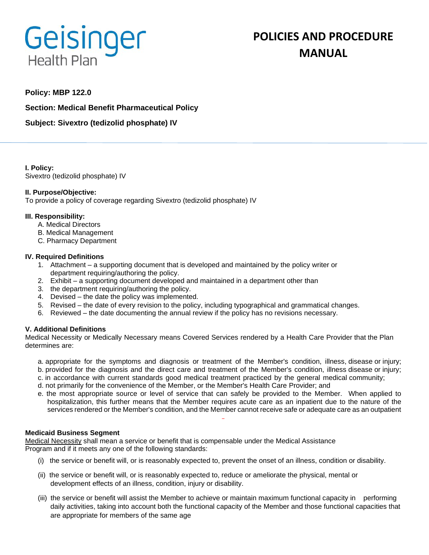# Geisinger **Health Plan**

# **POLICIES AND PROCEDURE MANUAL**

## **Policy: MBP 122.0**

**Section: Medical Benefit Pharmaceutical Policy**

**Subject: Sivextro (tedizolid phosphate) IV**

**I. Policy:** Sivextro (tedizolid phosphate) IV

#### **II. Purpose/Objective:**

To provide a policy of coverage regarding Sivextro (tedizolid phosphate) IV

#### **III. Responsibility:**

- A. Medical Directors
- B. Medical Management
- C. Pharmacy Department

#### **IV. Required Definitions**

- 1. Attachment a supporting document that is developed and maintained by the policy writer or department requiring/authoring the policy.
- 2. Exhibit a supporting document developed and maintained in a department other than
- 3. the department requiring/authoring the policy.
- 4. Devised the date the policy was implemented.
- 5. Revised the date of every revision to the policy, including typographical and grammatical changes.
- 6. Reviewed the date documenting the annual review if the policy has no revisions necessary.

#### **V. Additional Definitions**

Medical Necessity or Medically Necessary means Covered Services rendered by a Health Care Provider that the Plan determines are:

- a. appropriate for the symptoms and diagnosis or treatment of the Member's condition, illness, disease or injury;
- b. provided for the diagnosis and the direct care and treatment of the Member's condition, illness disease or injury;
- c. in accordance with current standards good medical treatment practiced by the general medical community;
- d. not primarily for the convenience of the Member, or the Member's Health Care Provider; and
- e. the most appropriate source or level of service that can safely be provided to the Member. When applied to hospitalization, this further means that the Member requires acute care as an inpatient due to the nature of the services rendered or the Member's condition, and the Member cannot receive safe or adequate care as an outpatient

#### **Medicaid Business Segment**

Medical Necessity shall mean a service or benefit that is compensable under the Medical Assistance Program and if it meets any one of the following standards:

- (i) the service or benefit will, or is reasonably expected to, prevent the onset of an illness, condition or disability.
- (ii) the service or benefit will, or is reasonably expected to, reduce or ameliorate the physical, mental or development effects of an illness, condition, injury or disability.
- (iii) the service or benefit will assist the Member to achieve or maintain maximum functional capacity in performing daily activities, taking into account both the functional capacity of the Member and those functional capacities that are appropriate for members of the same age